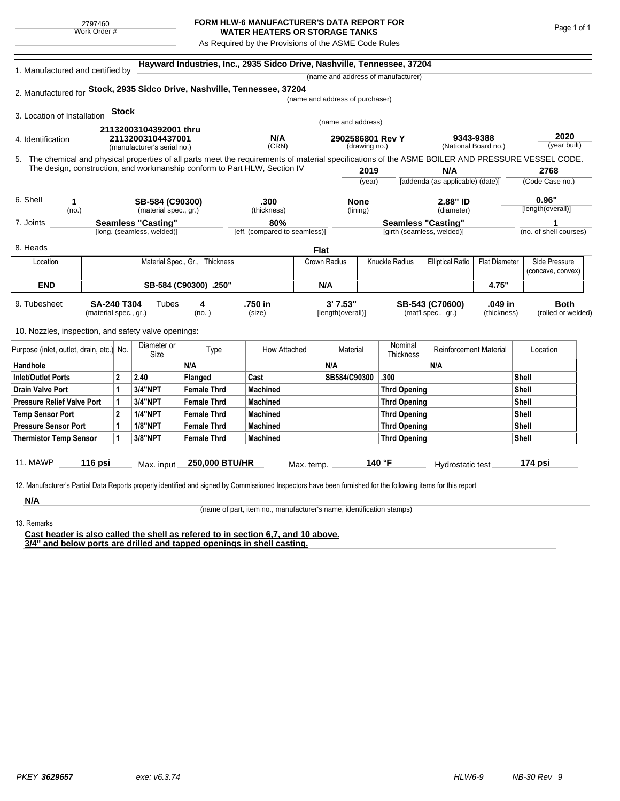## **FORM HLW-6 MANUFACTURER'S DATA REPORT FOR WATER HEATERS OR STORAGE TANKS**

As Required by the Provisions of the ASME Code Rules

| 1. Manufactured and certified by                                                                                                                              | Hayward Industries, Inc., 2935 Sidco Drive, Nashville, Tennessee, 37204<br>(name and address of manufacturer) |                                                                           |                                |                               |                                   |                       |                                  |                                   |                      |                        |             |
|---------------------------------------------------------------------------------------------------------------------------------------------------------------|---------------------------------------------------------------------------------------------------------------|---------------------------------------------------------------------------|--------------------------------|-------------------------------|-----------------------------------|-----------------------|----------------------------------|-----------------------------------|----------------------|------------------------|-------------|
|                                                                                                                                                               |                                                                                                               |                                                                           |                                |                               |                                   |                       |                                  |                                   |                      |                        |             |
| 2. Manufactured for Stock, 2935 Sidco Drive, Nashville, Tennessee, 37204                                                                                      |                                                                                                               |                                                                           |                                |                               | (name and address of purchaser)   |                       |                                  |                                   |                      |                        |             |
|                                                                                                                                                               | <b>Stock</b>                                                                                                  |                                                                           |                                |                               |                                   |                       |                                  |                                   |                      |                        |             |
| 3. Location of Installation                                                                                                                                   |                                                                                                               |                                                                           |                                |                               | (name and address)                |                       |                                  |                                   |                      |                        |             |
|                                                                                                                                                               |                                                                                                               | 21132003104392001 thru                                                    |                                |                               |                                   |                       |                                  |                                   |                      |                        |             |
| 4. Identification                                                                                                                                             |                                                                                                               | 21132003104437001<br>(manufacturer's serial no.)                          |                                | N/A<br>(CRN)                  | 2902586801 Rev Y<br>(drawing no.) |                       |                                  | 9343-9388<br>(National Board no.) |                      | 2020<br>(year built)   |             |
| 5. The chemical and physical properties of all parts meet the requirements of material specifications of the ASME BOILER AND PRESSURE VESSEL CODE.            |                                                                                                               |                                                                           |                                |                               |                                   |                       |                                  |                                   |                      |                        |             |
|                                                                                                                                                               |                                                                                                               | The design, construction, and workmanship conform to Part HLW, Section IV |                                |                               | 2019                              |                       | N/A                              |                                   | 2768                 |                        |             |
|                                                                                                                                                               |                                                                                                               |                                                                           |                                |                               | (year)                            |                       | [addenda (as applicable) (date)] |                                   | (Code Case no.)      |                        |             |
|                                                                                                                                                               |                                                                                                               |                                                                           |                                |                               |                                   |                       |                                  |                                   |                      |                        |             |
| 6. Shell<br>1                                                                                                                                                 |                                                                                                               | SB-584 (C90300)                                                           |                                | .300                          |                                   | <b>None</b>           |                                  | 2.88" ID                          |                      | 0.96"                  |             |
| (no.)                                                                                                                                                         |                                                                                                               |                                                                           | (material spec., gr.)          |                               |                                   | (lining)              |                                  | (diameter)                        |                      | [length(overall)]      |             |
| 7. Joints                                                                                                                                                     |                                                                                                               | <b>Seamless "Casting"</b>                                                 |                                | 80%                           |                                   |                       | <b>Seamless "Casting"</b>        |                                   |                      |                        |             |
|                                                                                                                                                               |                                                                                                               | [long. (seamless, welded)]                                                |                                | [eff. (compared to seamless)] |                                   |                       | [girth (seamless, welded)]       |                                   |                      | (no. of shell courses) |             |
| 8. Heads                                                                                                                                                      |                                                                                                               |                                                                           |                                |                               | Flat                              |                       |                                  |                                   |                      |                        |             |
| Location                                                                                                                                                      |                                                                                                               |                                                                           | Material Spec., Gr., Thickness |                               | Crown Radius                      | <b>Knuckle Radius</b> |                                  | <b>Elliptical Ratio</b>           | <b>Flat Diameter</b> | Side Pressure          |             |
|                                                                                                                                                               |                                                                                                               |                                                                           |                                |                               |                                   |                       |                                  |                                   | (concave, convex)    |                        |             |
| <b>END</b>                                                                                                                                                    | SB-584 (C90300) .250"                                                                                         |                                                                           |                                |                               | N/A                               |                       |                                  |                                   | 4.75"                |                        |             |
| 9. Tubesheet                                                                                                                                                  | <b>SA-240 T304</b>                                                                                            |                                                                           |                                | .750 in                       |                                   | 3' 7.53"              |                                  | .049 in<br>SB-543 (C70600)        |                      |                        | <b>Both</b> |
|                                                                                                                                                               | (material spec., gr.)                                                                                         | Tubes<br>4<br>(no. )                                                      |                                | (size)                        |                                   | [length(overall)]     |                                  | (mat'l spec., gr.)<br>(thickness) |                      | (rolled or welded)     |             |
|                                                                                                                                                               |                                                                                                               |                                                                           |                                |                               |                                   |                       |                                  |                                   |                      |                        |             |
| 10. Nozzles, inspection, and safety valve openings:                                                                                                           |                                                                                                               |                                                                           |                                |                               |                                   |                       |                                  |                                   |                      |                        |             |
| Purpose (inlet, outlet, drain, etc.) No.                                                                                                                      |                                                                                                               | Diameter or<br>Size                                                       | Type                           | How Attached                  |                                   | Material              | Nominal<br>Thickness             | <b>Reinforcement Material</b>     |                      | Location               |             |
| Handhole                                                                                                                                                      |                                                                                                               |                                                                           | N/A                            |                               | N/A                               |                       |                                  | N/A                               |                      |                        |             |
| <b>Inlet/Outlet Ports</b>                                                                                                                                     | $\mathbf{2}$                                                                                                  | 2.40                                                                      | Flanged                        | Cast                          | SB584/C90300                      |                       | .300                             |                                   |                      | <b>Shell</b>           |             |
| <b>Drain Valve Port</b>                                                                                                                                       | 1                                                                                                             | <b>3/4"NPT</b>                                                            | <b>Female Thrd</b>             | <b>Machined</b>               |                                   |                       | <b>Thrd Opening</b>              |                                   |                      | <b>Shell</b>           |             |
| <b>Pressure Relief Valve Port</b>                                                                                                                             | 1                                                                                                             | 3/4"NPT                                                                   | <b>Female Thrd</b>             | <b>Machined</b>               |                                   |                       | <b>Thrd Opening</b>              |                                   |                      | Shell                  |             |
| $\mathbf{2}$<br><b>Temp Sensor Port</b>                                                                                                                       |                                                                                                               | <b>1/4"NPT</b>                                                            | <b>Female Thrd</b>             | <b>Machined</b>               |                                   |                       | <b>Thrd Opening</b>              |                                   |                      | Shell                  |             |
| <b>Pressure Sensor Port</b>                                                                                                                                   |                                                                                                               | <b>1/8"NPT</b>                                                            | <b>Female Thrd</b>             | <b>Machined</b>               |                                   |                       | <b>Thrd Opening</b>              |                                   |                      | Shell                  |             |
| <b>Thermistor Temp Sensor</b>                                                                                                                                 | 1                                                                                                             | 3/8"NPT                                                                   | <b>Female Thrd</b>             | <b>Machined</b>               |                                   |                       | <b>Thrd Opening</b>              |                                   |                      | Shell                  |             |
|                                                                                                                                                               |                                                                                                               |                                                                           |                                |                               |                                   |                       |                                  |                                   |                      |                        |             |
| <b>11. MAWP</b><br>116 psi                                                                                                                                    |                                                                                                               | Max. input                                                                | 250,000 BTU/HR                 |                               | Max. temp.                        |                       | 140 °F                           | Hydrostatic test                  |                      | 174 psi                |             |
|                                                                                                                                                               |                                                                                                               |                                                                           |                                |                               |                                   |                       |                                  |                                   |                      |                        |             |
| 12. Manufacturer's Partial Data Reports properly identified and signed by Commissioned Inspectors have been furnished for the following items for this report |                                                                                                               |                                                                           |                                |                               |                                   |                       |                                  |                                   |                      |                        |             |

**N/A** 13. Remarks

(name of part, item no., manufacturer's name, identification stamps)

**Cast header is also called the shell as refered to in section 6,7, and 10 above. 3/4" and below ports are drilled and tapped openings in shell casting.**